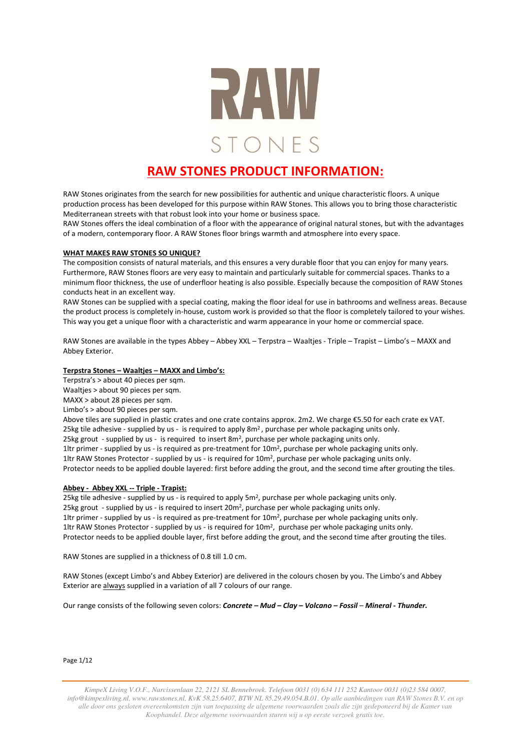

# **RAW STONES PRODUCT INFORMATION:**

RAW Stones originates from the search for new possibilities for authentic and unique characteristic floors. A unique production process has been developed for this purpose within RAW Stones. This allows you to bring those characteristic Mediterranean streets with that robust look into your home or business space.

RAW Stones offers the ideal combination of a floor with the appearance of original natural stones, but with the advantages of a modern, contemporary floor. A RAW Stones floor brings warmth and atmosphere into every space.

#### **WHAT MAKES RAW STONES SO UNIQUE?**

The composition consists of natural materials, and this ensures a very durable floor that you can enjoy for many years. Furthermore, RAW Stones floors are very easy to maintain and particularly suitable for commercial spaces. Thanks to a minimum floor thickness, the use of underfloor heating is also possible. Especially because the composition of RAW Stones conducts heat in an excellent way.

RAW Stones can be supplied with a special coating, making the floor ideal for use in bathrooms and wellness areas. Because the product process is completely in-house, custom work is provided so that the floor is completely tailored to your wishes. This way you get a unique floor with a characteristic and warm appearance in your home or commercial space.

RAW Stones are available in the types Abbey – Abbey XXL – Terpstra – Waaltjes - Triple – Trapist – Limbo's – MAXX and Abbey Exterior.

# **Terpstra Stones – Waaltjes – MAXX and Limbo's:**

Terpstra's > about 40 pieces per sqm.

Waaltjes > about 90 pieces per sqm.

MAXX > about 28 pieces per sqm.

Limbo's > about 90 pieces per sqm.

Above tiles are supplied in plastic crates and one crate contains approx. 2m2. We charge €5.50 for each crate ex VAT. 25kg tile adhesive - supplied by us - is required to apply 8m<sup>2</sup>, purchase per whole packaging units only. 25kg grout - supplied by us - is required to insert 8m<sup>2</sup>, purchase per whole packaging units only. 1ltr primer - supplied by us - is required as pre-treatment for 10m<sup>2</sup>, purchase per whole packaging units only. 1ltr RAW Stones Protector - supplied by us - is required for 10m<sup>2</sup>, purchase per whole packaging units only. Protector needs to be applied double layered: first before adding the grout, and the second time after grouting the tiles.

### **Abbey - Abbey XXL -- Triple - Trapist:**

25kg tile adhesive - supplied by us - is required to apply 5m<sup>2</sup>, purchase per whole packaging units only. 25kg grout - supplied by us - is required to insert 20m<sup>2</sup>, purchase per whole packaging units only. 1ltr primer - supplied by us - is required as pre-treatment for 10m<sup>2</sup>, purchase per whole packaging units only. 1ltr RAW Stones Protector - supplied by us - is required for 10m<sup>2</sup>, purchase per whole packaging units only. Protector needs to be applied double layer, first before adding the grout, and the second time after grouting the tiles.

RAW Stones are supplied in a thickness of 0.8 till 1.0 cm.

RAW Stones (except Limbo's and Abbey Exterior) are delivered in the colours chosen by you. The Limbo's and Abbey Exterior are always supplied in a variation of all 7 colours of our range.

Our range consists of the following seven colors: *Concrete – Mud – Clay – Volcano – Fossil* – *Mineral* **-** *Thunder.*

Page 1/12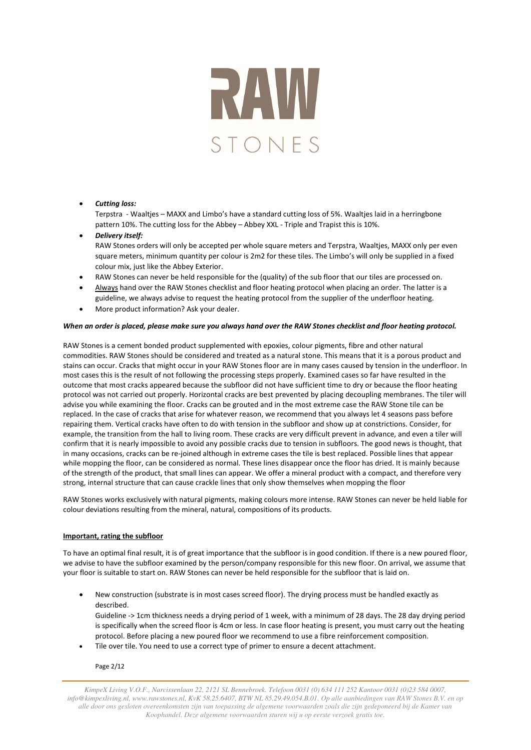

### • *Cutting loss:*

Terpstra - Waaltjes – MAXX and Limbo's have a standard cutting loss of 5%. Waaltjes laid in a herringbone pattern 10%. The cutting loss for the Abbey – Abbey XXL - Triple and Trapist this is 10%.

- *Delivery itself:* RAW Stones orders will only be accepted per whole square meters and Terpstra, Waaltjes, MAXX only per even square meters, minimum quantity per colour is 2m2 for these tiles. The Limbo's will only be supplied in a fixed colour mix, just like the Abbey Exterior.
- RAW Stones can never be held responsible for the (quality) of the sub floor that our tiles are processed on.
- Always hand over the RAW Stones checklist and floor heating protocol when placing an order. The latter is a guideline, we always advise to request the heating protocol from the supplier of the underfloor heating.
- More product information? Ask your dealer.

### *When an order is placed, please make sure you always hand over the RAW Stones checklist and floor heating protocol.*

RAW Stones is a cement bonded product supplemented with epoxies, colour pigments, fibre and other natural commodities. RAW Stones should be considered and treated as a natural stone. This means that it is a porous product and stains can occur. Cracks that might occur in your RAW Stones floor are in many cases caused by tension in the underfloor. In most cases this is the result of not following the processing steps properly. Examined cases so far have resulted in the outcome that most cracks appeared because the subfloor did not have sufficient time to dry or because the floor heating protocol was not carried out properly. Horizontal cracks are best prevented by placing decoupling membranes. The tiler will advise you while examining the floor. Cracks can be grouted and in the most extreme case the RAW Stone tile can be replaced. In the case of cracks that arise for whatever reason, we recommend that you always let 4 seasons pass before repairing them. Vertical cracks have often to do with tension in the subfloor and show up at constrictions. Consider, for example, the transition from the hall to living room. These cracks are very difficult prevent in advance, and even a tiler will confirm that it is nearly impossible to avoid any possible cracks due to tension in subfloors. The good news is thought, that in many occasions, cracks can be re-joined although in extreme cases the tile is best replaced. Possible lines that appear while mopping the floor, can be considered as normal. These lines disappear once the floor has dried. It is mainly because of the strength of the product, that small lines can appear. We offer a mineral product with a compact, and therefore very strong, internal structure that can cause crackle lines that only show themselves when mopping the floor

RAW Stones works exclusively with natural pigments, making colours more intense. RAW Stones can never be held liable for colour deviations resulting from the mineral, natural, compositions of its products.

### **Important, rating the subfloor**

To have an optimal final result, it is of great importance that the subfloor is in good condition. If there is a new poured floor, we advise to have the subfloor examined by the person/company responsible for this new floor. On arrival, we assume that your floor is suitable to start on. RAW Stones can never be held responsible for the subfloor that is laid on.

- New construction (substrate is in most cases screed floor). The drying process must be handled exactly as described. Guideline -> 1cm thickness needs a drying period of 1 week, with a minimum of 28 days. The 28 day drying period is specifically when the screed floor is 4cm or less. In case floor heating is present, you must carry out the heating protocol. Before placing a new poured floor we recommend to use a fibre reinforcement composition.
- Tile over tile. You need to use a correct type of primer to ensure a decent attachment.

Page 2/12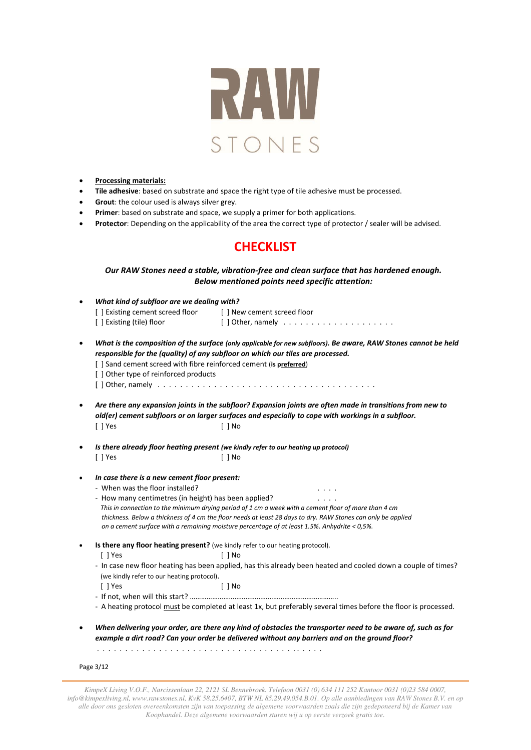

- **Processing materials:**
- **Tile adhesive**: based on substrate and space the right type of tile adhesive must be processed.
- **Grout**: the colour used is always silver grey.
- **Primer**: based on substrate and space, we supply a primer for both applications.
- **Protector**: Depending on the applicability of the area the correct type of protector / sealer will be advised.

# **CHECKLIST**

# *Our RAW Stones need a stable, vibration-free and clean surface that has hardened enough. Below mentioned points need specific attention:*

| $\bullet$ | What kind of subfloor are we dealing with?                                                                                                                                                         |                                                                                                                                                                                                                  |  |  |  |
|-----------|----------------------------------------------------------------------------------------------------------------------------------------------------------------------------------------------------|------------------------------------------------------------------------------------------------------------------------------------------------------------------------------------------------------------------|--|--|--|
|           | [ ] Existing cement screed floor                                                                                                                                                                   | [ ] New cement screed floor                                                                                                                                                                                      |  |  |  |
|           | [ ] Existing (tile) floor                                                                                                                                                                          | [] Other, namely $\ldots \ldots \ldots \ldots \ldots \ldots$                                                                                                                                                     |  |  |  |
| $\bullet$ | What is the composition of the surface (only applicable for new subfloors). Be aware, RAW Stones cannot be held<br>responsible for the (quality) of any subfloor on which our tiles are processed. |                                                                                                                                                                                                                  |  |  |  |
|           | [ ] Sand cement screed with fibre reinforced cement (is preferred)                                                                                                                                 |                                                                                                                                                                                                                  |  |  |  |
|           | [] Other type of reinforced products                                                                                                                                                               |                                                                                                                                                                                                                  |  |  |  |
|           |                                                                                                                                                                                                    |                                                                                                                                                                                                                  |  |  |  |
| $\bullet$ | Are there any expansion joints in the subfloor? Expansion joints are often made in transitions from new to                                                                                         |                                                                                                                                                                                                                  |  |  |  |
|           |                                                                                                                                                                                                    | old(er) cement subfloors or on larger surfaces and especially to cope with workings in a subfloor.                                                                                                               |  |  |  |
|           | [ ] Yes                                                                                                                                                                                            | $\lceil$   No                                                                                                                                                                                                    |  |  |  |
| $\bullet$ | Is there already floor heating present (we kindly refer to our heating up protocol)                                                                                                                |                                                                                                                                                                                                                  |  |  |  |
|           | $[$ ] Yes                                                                                                                                                                                          | $\lceil$   No                                                                                                                                                                                                    |  |  |  |
| $\bullet$ | In case there is a new cement floor present:                                                                                                                                                       |                                                                                                                                                                                                                  |  |  |  |
|           | - When was the floor installed?                                                                                                                                                                    |                                                                                                                                                                                                                  |  |  |  |
|           | - How many centimetres (in height) has been applied?                                                                                                                                               |                                                                                                                                                                                                                  |  |  |  |
|           | This in connection to the minimum drying period of 1 cm a week with a cement floor of more than 4 cm                                                                                               |                                                                                                                                                                                                                  |  |  |  |
|           |                                                                                                                                                                                                    | thickness. Below a thickness of 4 cm the floor needs at least 28 days to dry. RAW Stones can only be applied<br>on a cement surface with a remaining moisture percentage of at least 1.5%. Anhydrite < $0.5\%$ . |  |  |  |
| $\bullet$ | Is there any floor heating present? (we kindly refer to our heating protocol).                                                                                                                     |                                                                                                                                                                                                                  |  |  |  |
|           | [ ] Yes                                                                                                                                                                                            | [ ] No                                                                                                                                                                                                           |  |  |  |
|           |                                                                                                                                                                                                    | - In case new floor heating has been applied, has this already been heated and cooled down a couple of times?                                                                                                    |  |  |  |
|           | (we kindly refer to our heating protocol).                                                                                                                                                         |                                                                                                                                                                                                                  |  |  |  |
|           | [ ] Yes                                                                                                                                                                                            | $[ ]$ No                                                                                                                                                                                                         |  |  |  |
|           |                                                                                                                                                                                                    |                                                                                                                                                                                                                  |  |  |  |
|           |                                                                                                                                                                                                    | - A heating protocol must be completed at least 1x, but preferably several times before the floor is processed.                                                                                                  |  |  |  |
| $\bullet$ |                                                                                                                                                                                                    | When delivering your order, are there any kind of obstacles the transporter need to be aware of, such as for                                                                                                     |  |  |  |
|           |                                                                                                                                                                                                    | example a dirt road? Can your order be delivered without any barriers and on the ground floor?                                                                                                                   |  |  |  |
|           |                                                                                                                                                                                                    |                                                                                                                                                                                                                  |  |  |  |
|           | Page 3/12                                                                                                                                                                                          |                                                                                                                                                                                                                  |  |  |  |
|           |                                                                                                                                                                                                    |                                                                                                                                                                                                                  |  |  |  |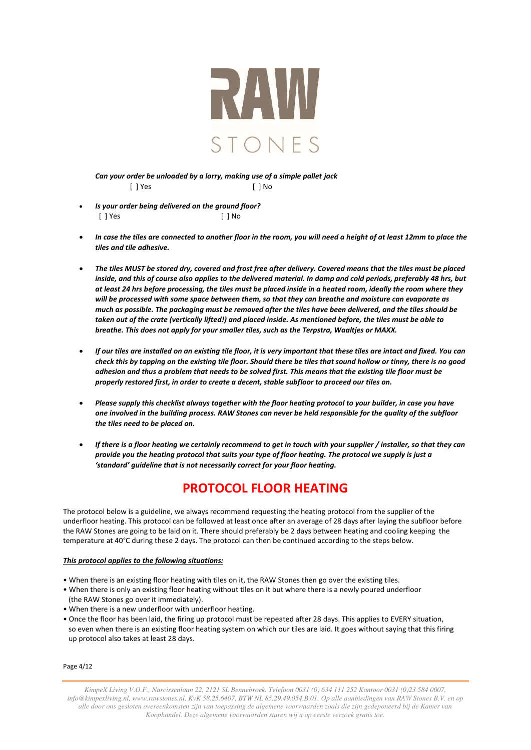

*Can your order be unloaded by a lorry, making use of a simple pallet jack*  [ ] Yes [ ] No

- *Is your order being delivered on the ground floor?* [ ] Yes [ ] No
- *In case the tiles are connected to another floor in the room, you will need a height of at least 12mm to place the tiles and tile adhesive.*
- *The tiles MUST be stored dry, covered and frost free after delivery. Covered means that the tiles must be placed inside, and this of course also applies to the delivered material. In damp and cold periods, preferably 48 hrs, but at least 24 hrs before processing, the tiles must be placed inside in a heated room, ideally the room where they will be processed with some space between them, so that they can breathe and moisture can evaporate as much as possible. The packaging must be removed after the tiles have been delivered, and the tiles should be taken out of the crate (vertically lifted!) and placed inside. As mentioned before, the tiles must be able to breathe. This does not apply for your smaller tiles, such as the Terpstra, Waaltjes or MAXX.*
- *If our tiles are installed on an existing tile floor, it is very important that these tiles are intact and fixed. You can check this by tapping on the existing tile floor. Should there be tiles that sound hollow or tinny, there is no good adhesion and thus a problem that needs to be solved first. This means that the existing tile floor must be properly restored first, in order to create a decent, stable subfloor to proceed our tiles on.*
- *Please supply this checklist always together with the floor heating protocol to your builder, in case you have one involved in the building process. RAW Stones can never be held responsible for the quality of the subfloor the tiles need to be placed on.*
- *If there is a floor heating we certainly recommend to get in touch with your supplier / installer, so that they can provide you the heating protocol that suits your type of floor heating. The protocol we supply is just a 'standard' guideline that is not necessarily correct for your floor heating.*

# **PROTOCOL FLOOR HEATING**

The protocol below is a guideline, we always recommend requesting the heating protocol from the supplier of the underfloor heating. This protocol can be followed at least once after an average of 28 days after laying the subfloor before the RAW Stones are going to be laid on it. There should preferably be 2 days between heating and cooling keeping the temperature at 40°C during these 2 days. The protocol can then be continued according to the steps below.

### *This protocol applies to the following situations:*

- When there is an existing floor heating with tiles on it, the RAW Stones then go over the existing tiles.
- When there is only an existing floor heating without tiles on it but where there is a newly poured underfloor (the RAW Stones go over it immediately).
- When there is a new underfloor with underfloor heating.
- Once the floor has been laid, the firing up protocol must be repeated after 28 days. This applies to EVERY situation, so even when there is an existing floor heating system on which our tiles are laid. It goes without saying that this firing up protocol also takes at least 28 days.

Page 4/12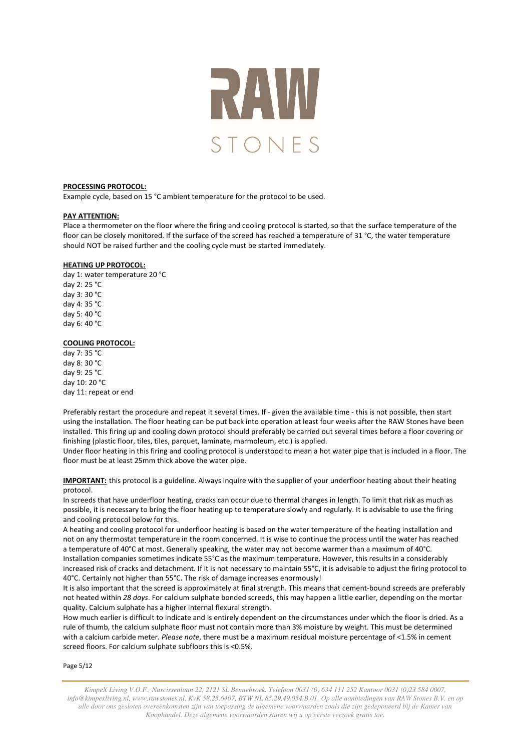

#### **PROCESSING PROTOCOL:**

Example cycle, based on 15 °C ambient temperature for the protocol to be used.

#### **PAY ATTENTION:**

Place a thermometer on the floor where the firing and cooling protocol is started, so that the surface temperature of the floor can be closely monitored. If the surface of the screed has reached a temperature of 31 °C, the water temperature should NOT be raised further and the cooling cycle must be started immediately.

#### **HEATING UP PROTOCOL:**

day 1: water temperature 20 °C day 2: 25 °C day 3: 30 °C day 4: 35 °C day 5: 40 °C day 6: 40 °C

#### **COOLING PROTOCOL:**

day 7: 35 °C day 8: 30 °C day 9: 25 °C day 10: 20 °C day 11: repeat or end

Preferably restart the procedure and repeat it several times. If - given the available time - this is not possible, then start using the installation. The floor heating can be put back into operation at least four weeks after the RAW Stones have been installed. This firing up and cooling down protocol should preferably be carried out several times before a floor covering or finishing (plastic floor, tiles, tiles, parquet, laminate, marmoleum, etc.) is applied.

Under floor heating in this firing and cooling protocol is understood to mean a hot water pipe that is included in a floor. The floor must be at least 25mm thick above the water pipe.

**IMPORTANT:** this protocol is a guideline. Always inquire with the supplier of your underfloor heating about their heating protocol.

In screeds that have underfloor heating, cracks can occur due to thermal changes in length. To limit that risk as much as possible, it is necessary to bring the floor heating up to temperature slowly and regularly. It is advisable to use the firing and cooling protocol below for this.

A heating and cooling protocol for underfloor heating is based on the water temperature of the heating installation and not on any thermostat temperature in the room concerned. It is wise to continue the process until the water has reached a temperature of 40°C at most. Generally speaking, the water may not become warmer than a maximum of 40°C. Installation companies sometimes indicate 55°C as the maximum temperature. However, this results in a considerably

increased risk of cracks and detachment. If it is not necessary to maintain 55°C, it is advisable to adjust the firing protocol to 40°C. Certainly not higher than 55°C. The risk of damage increases enormously!

It is also important that the screed is approximately at final strength. This means that cement-bound screeds are preferably not heated within *28 days*. For calcium sulphate bonded screeds, this may happen a little earlier, depending on the mortar quality. Calcium sulphate has a higher internal flexural strength.

How much earlier is difficult to indicate and is entirely dependent on the circumstances under which the floor is dried. As a rule of thumb, the calcium sulphate floor must not contain more than 3% moisture by weight. This must be determined with a calcium carbide meter*. Please note*, there must be a maximum residual moisture percentage of <1.5% in cement screed floors. For calcium sulphate subfloors this is <0.5%.

Page 5/12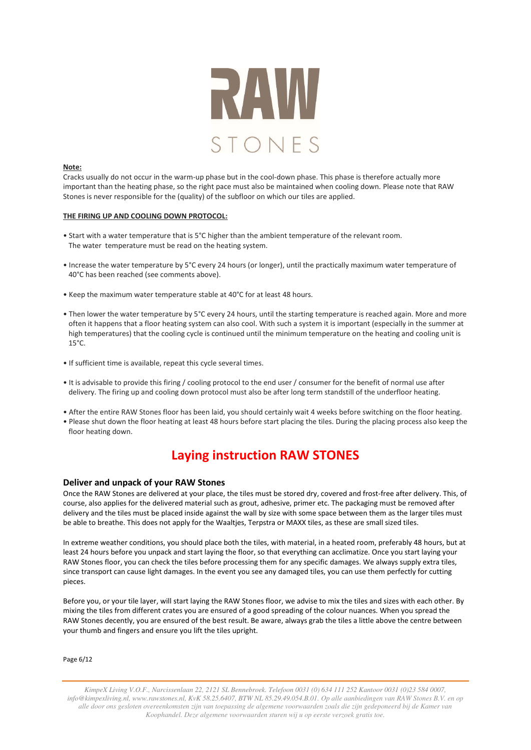

#### **Note:**

Cracks usually do not occur in the warm-up phase but in the cool-down phase. This phase is therefore actually more important than the heating phase, so the right pace must also be maintained when cooling down. Please note that RAW Stones is never responsible for the (quality) of the subfloor on which our tiles are applied.

#### **THE FIRING UP AND COOLING DOWN PROTOCOL:**

- Start with a water temperature that is 5°C higher than the ambient temperature of the relevant room. The water temperature must be read on the heating system.
- Increase the water temperature by 5°C every 24 hours (or longer), until the practically maximum water temperature of 40°C has been reached (see comments above).
- Keep the maximum water temperature stable at 40°C for at least 48 hours.
- Then lower the water temperature by 5°C every 24 hours, until the starting temperature is reached again. More and more often it happens that a floor heating system can also cool. With such a system it is important (especially in the summer at high temperatures) that the cooling cycle is continued until the minimum temperature on the heating and cooling unit is 15°C.
- If sufficient time is available, repeat this cycle several times.
- It is advisable to provide this firing / cooling protocol to the end user / consumer for the benefit of normal use after delivery. The firing up and cooling down protocol must also be after long term standstill of the underfloor heating.
- After the entire RAW Stones floor has been laid, you should certainly wait 4 weeks before switching on the floor heating.
- Please shut down the floor heating at least 48 hours before start placing the tiles. During the placing process also keep the floor heating down.

# **Laying instruction RAW STONES**

### **Deliver and unpack of your RAW Stones**

Once the RAW Stones are delivered at your place, the tiles must be stored dry, covered and frost-free after delivery. This, of course, also applies for the delivered material such as grout, adhesive, primer etc. The packaging must be removed after delivery and the tiles must be placed inside against the wall by size with some space between them as the larger tiles must be able to breathe. This does not apply for the Waaltjes, Terpstra or MAXX tiles, as these are small sized tiles.

In extreme weather conditions, you should place both the tiles, with material, in a heated room, preferably 48 hours, but at least 24 hours before you unpack and start laying the floor, so that everything can acclimatize. Once you start laying your RAW Stones floor, you can check the tiles before processing them for any specific damages. We always supply extra tiles, since transport can cause light damages. In the event you see any damaged tiles, you can use them perfectly for cutting pieces.

Before you, or your tile layer, will start laying the RAW Stones floor, we advise to mix the tiles and sizes with each other. By mixing the tiles from different crates you are ensured of a good spreading of the colour nuances. When you spread the RAW Stones decently, you are ensured of the best result. Be aware, always grab the tiles a little above the centre between your thumb and fingers and ensure you lift the tiles upright.

Page 6/12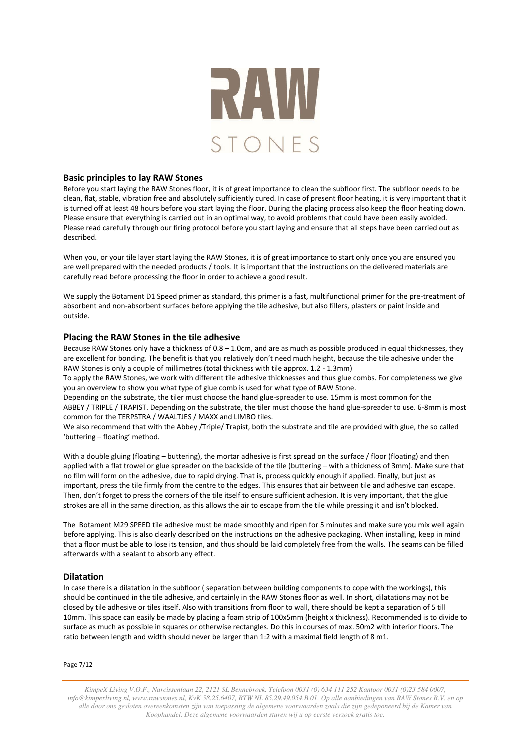

## **Basic principles to lay RAW Stones**

Before you start laying the RAW Stones floor, it is of great importance to clean the subfloor first. The subfloor needs to be clean, flat, stable, vibration free and absolutely sufficiently cured. In case of present floor heating, it is very important that it is turned off at least 48 hours before you start laying the floor. During the placing process also keep the floor heating down. Please ensure that everything is carried out in an optimal way, to avoid problems that could have been easily avoided. Please read carefully through our firing protocol before you start laying and ensure that all steps have been carried out as described.

When you, or your tile layer start laying the RAW Stones, it is of great importance to start only once you are ensured you are well prepared with the needed products / tools. It is important that the instructions on the delivered materials are carefully read before processing the floor in order to achieve a good result.

We supply the Botament D1 Speed primer as standard, this primer is a fast, multifunctional primer for the pre-treatment of absorbent and non-absorbent surfaces before applying the tile adhesive, but also fillers, plasters or paint inside and outside.

# **Placing the RAW Stones in the tile adhesive**

Because RAW Stones only have a thickness of 0.8 – 1.0cm, and are as much as possible produced in equal thicknesses, they are excellent for bonding. The benefit is that you relatively don't need much height, because the tile adhesive under the RAW Stones is only a couple of millimetres (total thickness with tile approx. 1.2 - 1.3mm)

To apply the RAW Stones, we work with different tile adhesive thicknesses and thus glue combs. For completeness we give you an overview to show you what type of glue comb is used for what type of RAW Stone.

Depending on the substrate, the tiler must choose the hand glue-spreader to use. 15mm is most common for the ABBEY / TRIPLE / TRAPIST. Depending on the substrate, the tiler must choose the hand glue-spreader to use. 6-8mm is most common for the TERPSTRA / WAALTJES / MAXX and LIMBO tiles.

We also recommend that with the Abbey /Triple/ Trapist, both the substrate and tile are provided with glue, the so called 'buttering – floating' method.

With a double gluing (floating – buttering), the mortar adhesive is first spread on the surface / floor (floating) and then applied with a flat trowel or glue spreader on the backside of the tile (buttering – with a thickness of 3mm). Make sure that no film will form on the adhesive, due to rapid drying. That is, process quickly enough if applied. Finally, but just as important, press the tile firmly from the centre to the edges. This ensures that air between tile and adhesive can escape. Then, don't forget to press the corners of the tile itself to ensure sufficient adhesion. It is very important, that the glue strokes are all in the same direction, as this allows the air to escape from the tile while pressing it and isn't blocked.

The Botament M29 SPEED tile adhesive must be made smoothly and ripen for 5 minutes and make sure you mix well again before applying. This is also clearly described on the instructions on the adhesive packaging. When installing, keep in mind that a floor must be able to lose its tension, and thus should be laid completely free from the walls. The seams can be filled afterwards with a sealant to absorb any effect.

# **Dilatation**

In case there is a dilatation in the subfloor ( separation between building components to cope with the workings), this should be continued in the tile adhesive, and certainly in the RAW Stones floor as well. In short, dilatations may not be closed by tile adhesive or tiles itself. Also with transitions from floor to wall, there should be kept a separation of 5 till 10mm. This space can easily be made by placing a foam strip of 100x5mm (height x thickness). Recommended is to divide to surface as much as possible in squares or otherwise rectangles. Do this in courses of max. 50m2 with interior floors. The ratio between length and width should never be larger than 1:2 with a maximal field length of 8 m1.

Page 7/12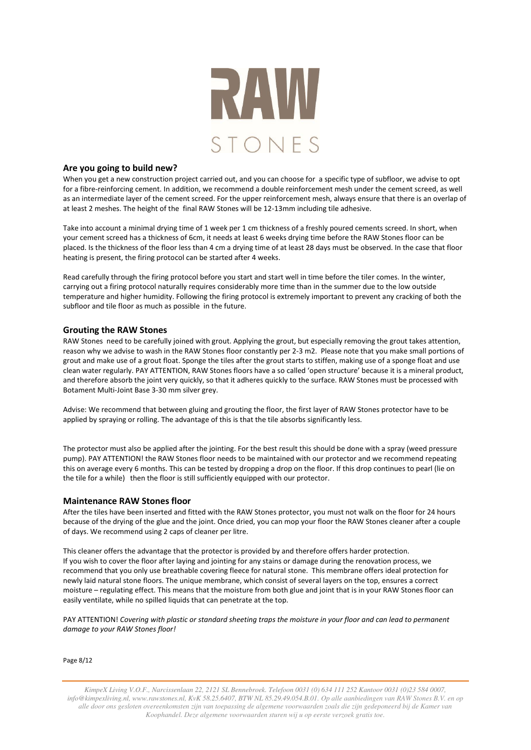

### **Are you going to build new?**

When you get a new construction project carried out, and you can choose for a specific type of subfloor, we advise to opt for a fibre-reinforcing cement. In addition, we recommend a double reinforcement mesh under the cement screed, as well as an intermediate layer of the cement screed. For the upper reinforcement mesh, always ensure that there is an overlap of at least 2 meshes. The height of the final RAW Stones will be 12-13mm including tile adhesive.

Take into account a minimal drying time of 1 week per 1 cm thickness of a freshly poured cements screed. In short, when your cement screed has a thickness of 6cm, it needs at least 6 weeks drying time before the RAW Stones floor can be placed. Is the thickness of the floor less than 4 cm a drying time of at least 28 days must be observed. In the case that floor heating is present, the firing protocol can be started after 4 weeks.

Read carefully through the firing protocol before you start and start well in time before the tiler comes. In the winter, carrying out a firing protocol naturally requires considerably more time than in the summer due to the low outside temperature and higher humidity. Following the firing protocol is extremely important to prevent any cracking of both the subfloor and tile floor as much as possible in the future.

### **Grouting the RAW Stones**

RAW Stones need to be carefully joined with grout. Applying the grout, but especially removing the grout takes attention, reason why we advise to wash in the RAW Stones floor constantly per 2-3 m2. Please note that you make small portions of grout and make use of a grout float. Sponge the tiles after the grout starts to stiffen, making use of a sponge float and use clean water regularly. PAY ATTENTION, RAW Stones floors have a so called 'open structure' because it is a mineral product, and therefore absorb the joint very quickly, so that it adheres quickly to the surface. RAW Stones must be processed with Botament Multi-Joint Base 3-30 mm silver grey.

Advise: We recommend that between gluing and grouting the floor, the first layer of RAW Stones protector have to be applied by spraying or rolling. The advantage of this is that the tile absorbs significantly less.

The protector must also be applied after the jointing. For the best result this should be done with a spray (weed pressure pump). PAY ATTENTION! the RAW Stones floor needs to be maintained with our protector and we recommend repeating this on average every 6 months. This can be tested by dropping a drop on the floor. If this drop continues to pearl (lie on the tile for a while) then the floor is still sufficiently equipped with our protector.

#### **Maintenance RAW Stones floor**

After the tiles have been inserted and fitted with the RAW Stones protector, you must not walk on the floor for 24 hours because of the drying of the glue and the joint. Once dried, you can mop your floor the RAW Stones cleaner after a couple of days. We recommend using 2 caps of cleaner per litre.

This cleaner offers the advantage that the protector is provided by and therefore offers harder protection. If you wish to cover the floor after laying and jointing for any stains or damage during the renovation process, we recommend that you only use breathable covering fleece for natural stone. This membrane offers ideal protection for newly laid natural stone floors. The unique membrane, which consist of several layers on the top, ensures a correct moisture – regulating effect. This means that the moisture from both glue and joint that is in your RAW Stones floor can easily ventilate, while no spilled liquids that can penetrate at the top.

PAY ATTENTION! *Covering with plastic or standard sheeting traps the moisture in your floor and can lead to permanent damage to your RAW Stones floor!* 

Page 8/12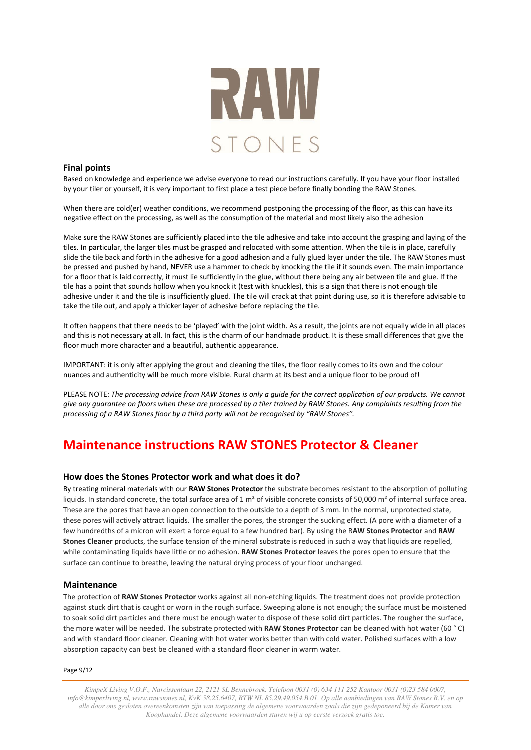

## **Final points**

Based on knowledge and experience we advise everyone to read our instructions carefully. If you have your floor installed by your tiler or yourself, it is very important to first place a test piece before finally bonding the RAW Stones.

When there are cold(er) weather conditions, we recommend postponing the processing of the floor, as this can have its negative effect on the processing, as well as the consumption of the material and most likely also the adhesion

Make sure the RAW Stones are sufficiently placed into the tile adhesive and take into account the grasping and laying of the tiles. In particular, the larger tiles must be grasped and relocated with some attention. When the tile is in place, carefully slide the tile back and forth in the adhesive for a good adhesion and a fully glued layer under the tile. The RAW Stones must be pressed and pushed by hand, NEVER use a hammer to check by knocking the tile if it sounds even. The main importance for a floor that is laid correctly, it must lie sufficiently in the glue, without there being any air between tile and glue. If the tile has a point that sounds hollow when you knock it (test with knuckles), this is a sign that there is not enough tile adhesive under it and the tile is insufficiently glued. The tile will crack at that point during use, so it is therefore advisable to take the tile out, and apply a thicker layer of adhesive before replacing the tile.

It often happens that there needs to be 'played' with the joint width. As a result, the joints are not equally wide in all places and this is not necessary at all. In fact, this is the charm of our handmade product. It is these small differences that give the floor much more character and a beautiful, authentic appearance.

IMPORTANT: it is only after applying the grout and cleaning the tiles, the floor really comes to its own and the colour nuances and authenticity will be much more visible. Rural charm at its best and a unique floor to be proud of!

PLEASE NOTE: *The processing advice from RAW Stones is only a guide for the correct application of our products. We cannot give any guarantee on floors when these are processed by a tiler trained by RAW Stones. Any complaints resulting from the processing of a RAW Stones floor by a third party will not be recognised by "RAW Stones".* 

# **Maintenance instructions RAW STONES Protector & Cleaner**

# **How does the Stones Protector work and what does it do?**

By treating mineral materials with our **RAW Stones Protector** the substrate becomes resistant to the absorption of polluting liquids. In standard concrete, the total surface area of  $1 \text{ m}^2$  of visible concrete consists of 50,000 m<sup>2</sup> of internal surface area. These are the pores that have an open connection to the outside to a depth of 3 mm. In the normal, unprotected state, these pores will actively attract liquids. The smaller the pores, the stronger the sucking effect. (A pore with a diameter of a few hundredths of a micron will exert a force equal to a few hundred bar). By using the R**AW Stones Protector** and **RAW Stones Cleaner** products, the surface tension of the mineral substrate is reduced in such a way that liquids are repelled, while contaminating liquids have little or no adhesion. **RAW Stones Protector** leaves the pores open to ensure that the surface can continue to breathe, leaving the natural drying process of your floor unchanged.

### **Maintenance**

The protection of **RAW Stones Protector** works against all non-etching liquids. The treatment does not provide protection against stuck dirt that is caught or worn in the rough surface. Sweeping alone is not enough; the surface must be moistened to soak solid dirt particles and there must be enough water to dispose of these solid dirt particles. The rougher the surface, the more water will be needed. The substrate protected with **RAW Stones Protector** can be cleaned with hot water (60 ° C) and with standard floor cleaner. Cleaning with hot water works better than with cold water. Polished surfaces with a low absorption capacity can best be cleaned with a standard floor cleaner in warm water.

Page 9/12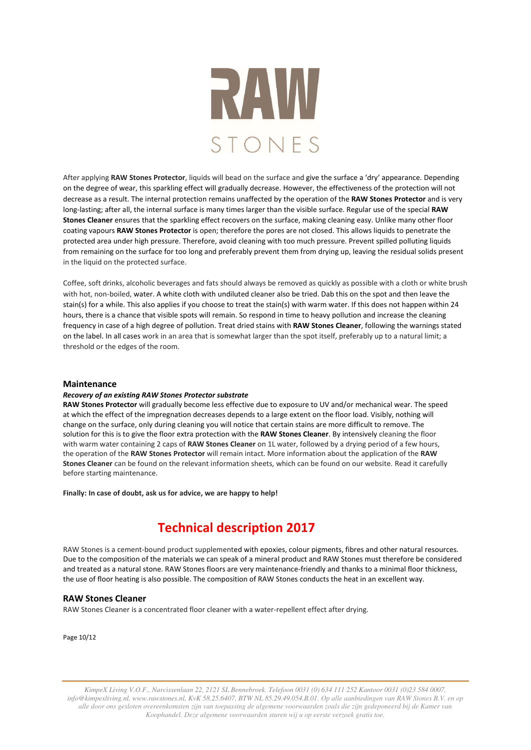

After applying **RAW Stones Protector**, liquids will bead on the surface and give the surface a 'dry' appearance. Depending on the degree of wear, this sparkling effect will gradually decrease. However, the effectiveness of the protection will not decrease as a result. The internal protection remains unaffected by the operation of the **RAW Stones Protector** and is very long-lasting; after all, the internal surface is many times larger than the visible surface. Regular use of the special **RAW Stones Cleaner** ensures that the sparkling effect recovers on the surface, making cleaning easy. Unlike many other floor coating vapours **RAW Stones Protector** is open; therefore the pores are not closed. This allows liquids to penetrate the protected area under high pressure. Therefore, avoid cleaning with too much pressure. Prevent spilled polluting liquids from remaining on the surface for too long and preferably prevent them from drying up, leaving the residual solids present in the liquid on the protected surface.

Coffee, soft drinks, alcoholic beverages and fats should always be removed as quickly as possible with a cloth or white brush with hot, non-boiled, water. A white cloth with undiluted cleaner also be tried. Dab this on the spot and then leave the stain(s) for a while. This also applies if you choose to treat the stain(s) with warm water. If this does not happen within 24 hours, there is a chance that visible spots will remain. So respond in time to heavy pollution and increase the cleaning frequency in case of a high degree of pollution. Treat dried stains with **RAW Stones Cleaner**, following the warnings stated on the label. In all cases work in an area that is somewhat larger than the spot itself, preferably up to a natural limit; a threshold or the edges of the room.

### **Maintenance**

### *Recovery of an existing RAW Stones Protector substrate*

**RAW Stones Protector** will gradually become less effective due to exposure to UV and/or mechanical wear. The speed at which the effect of the impregnation decreases depends to a large extent on the floor load. Visibly, nothing will change on the surface, only during cleaning you will notice that certain stains are more difficult to remove. The solution for this is to give the floor extra protection with the **RAW Stones Cleaner**. By intensively cleaning the floor with warm water containing 2 caps of **RAW Stones Cleaner** on 1L water, followed by a drying period of a few hours, the operation of the **RAW Stones Protector** will remain intact. More information about the application of the **RAW Stones Cleaner** can be found on the relevant information sheets, which can be found on our website. Read it carefully before starting maintenance.

**Finally: In case of doubt, ask us for advice, we are happy to help!** 

# **Technical description 2017**

RAW Stones is a cement-bound product supplemented with epoxies, colour pigments, fibres and other natural resources. Due to the composition of the materials we can speak of a mineral product and RAW Stones must therefore be considered and treated as a natural stone. RAW Stones floors are very maintenance-friendly and thanks to a minimal floor thickness, the use of floor heating is also possible. The composition of RAW Stones conducts the heat in an excellent way.

### **RAW Stones Cleaner**

RAW Stones Cleaner is a concentrated floor cleaner with a water-repellent effect after drying.

Page 10/12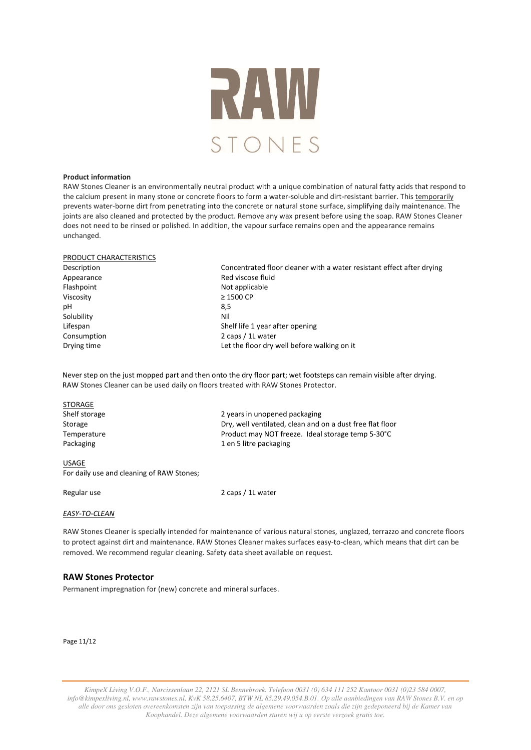

#### **Product information**

RAW Stones Cleaner is an environmentally neutral product with a unique combination of natural fatty acids that respond to the calcium present in many stone or concrete floors to form a water-soluble and dirt-resistant barrier. This temporarily prevents water-borne dirt from penetrating into the concrete or natural stone surface, simplifying daily maintenance. The joints are also cleaned and protected by the product. Remove any wax present before using the soap. RAW Stones Cleaner does not need to be rinsed or polished. In addition, the vapour surface remains open and the appearance remains unchanged.

| PRODUCT CHARACTERISTICS |                                                                       |  |  |  |
|-------------------------|-----------------------------------------------------------------------|--|--|--|
| Description             | Concentrated floor cleaner with a water resistant effect after drying |  |  |  |
| Appearance              | Red viscose fluid                                                     |  |  |  |
| Flashpoint              | Not applicable                                                        |  |  |  |
| Viscosity               | $\geq$ 1500 CP                                                        |  |  |  |
| рH                      | 8,5                                                                   |  |  |  |
| Solubility              | Nil                                                                   |  |  |  |
| Lifespan                | Shelf life 1 year after opening                                       |  |  |  |
| Consumption             | 2 caps / 1L water                                                     |  |  |  |
| Drying time             | Let the floor dry well before walking on it                           |  |  |  |
|                         |                                                                       |  |  |  |

Never step on the just mopped part and then onto the dry floor part; wet footsteps can remain visible after drying. RAW Stones Cleaner can be used daily on floors treated with RAW Stones Protector.

| <b>STORAGE</b> |  |
|----------------|--|
| Shelf storage  |  |
| Storage        |  |
| Temperature    |  |
| Packaging      |  |

2 years in unopened packaging Dry, well ventilated, clean and on a dust free flat floor Product may NOT freeze. Ideal storage temp 5-30°C 1 en 5 litre packaging

#### USAGE

For daily use and cleaning of RAW Stones;

Regular use 2 caps / 1L water

## *EASY-TO-CLEAN*

RAW Stones Cleaner is specially intended for maintenance of various natural stones, unglazed, terrazzo and concrete floors to protect against dirt and maintenance. RAW Stones Cleaner makes surfaces easy-to-clean, which means that dirt can be removed. We recommend regular cleaning. Safety data sheet available on request.

# **RAW Stones Protector**

Permanent impregnation for (new) concrete and mineral surfaces.

Page 11/12